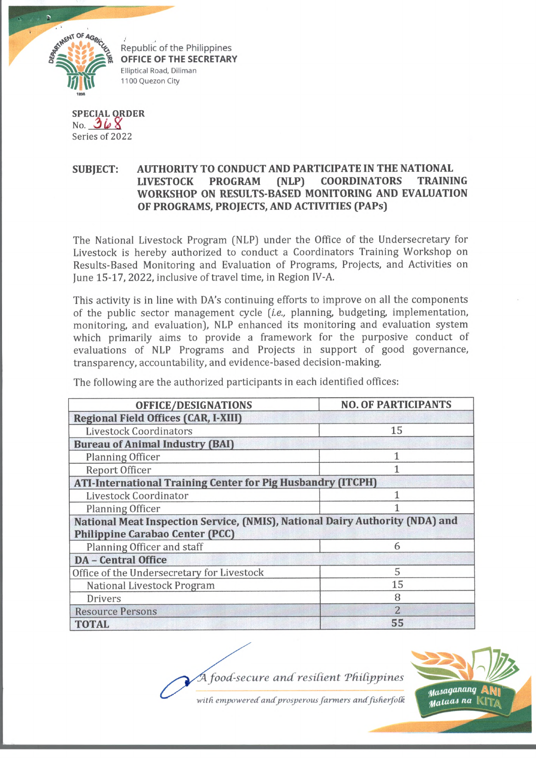

**OFFICE OF THE SECRETARY** Elliptical Road, Diliman 1100 Quezon City

**SPECIAL ORDER** No. *3 L > \* Series of 2022

## **SUBJECT: AUTHORITY TO CONDUCT AND PARTICIPATE IN THE NATIONAL LIVESTOCK PROGRAM (NLP) COORDINATORS TRAINING WORKSHOP ON RESULTS-BASED MONITORING AND EVALUATION OF PROGRAMS, PROJECTS, AND ACTIVITIES (PAPs)**

The National Livestock Program (NLP) under the Office of the Undersecretary for Livestock is hereby authorized to conduct a Coordinators Training Workshop on Results-Based Monitoring and Evaluation of Programs, Projects, and Activities on June 15-17, 2022, inclusive of travel time, in Region IV-A.

This activity is in line with DA's continuing efforts to improve on all the components of the public sector management cycle *[i.e.,* planning, budgeting, implementation, monitoring, and evaluation), NLP enhanced its monitoring and evaluation system which primarily aims to provide a framework for the purposive conduct of evaluations of NLP Programs and Projects in support of good governance, transparency, accountability, and evidence-based decision-making.

The following are the authorized participants in each identified offices:

| <b>OFFICE/DESIGNATIONS</b>                                                   | <b>NO. OF PARTICIPANTS</b> |
|------------------------------------------------------------------------------|----------------------------|
| <b>Regional Field Offices (CAR, I-XIII)</b>                                  |                            |
| <b>Livestock Coordinators</b>                                                | 15                         |
| <b>Bureau of Animal Industry (BAI)</b>                                       |                            |
| Planning Officer                                                             | $\mathbf{1}$               |
| Report Officer                                                               |                            |
| <b>ATI-International Training Center for Pig Husbandry (ITCPH)</b>           |                            |
| Livestock Coordinator                                                        |                            |
| Planning Officer                                                             |                            |
| National Meat Inspection Service, (NMIS), National Dairy Authority (NDA) and |                            |
| <b>Philippine Carabao Center (PCC)</b>                                       |                            |
| Planning Officer and staff                                                   | 6                          |
| <b>DA</b> - Central Office                                                   |                            |
| Office of the Undersecretary for Livestock                                   | 5                          |
| National Livestock Program                                                   | 15                         |
| <b>Drivers</b>                                                               | 8                          |
| <b>Resource Persons</b>                                                      | $\overline{2}$             |
| <b>TOTAL</b>                                                                 | 55                         |

*food-secure and resident Tfiidppines*

Masaganang *Mataas na* 

with empowered and prosperous farmers and fisherfolk